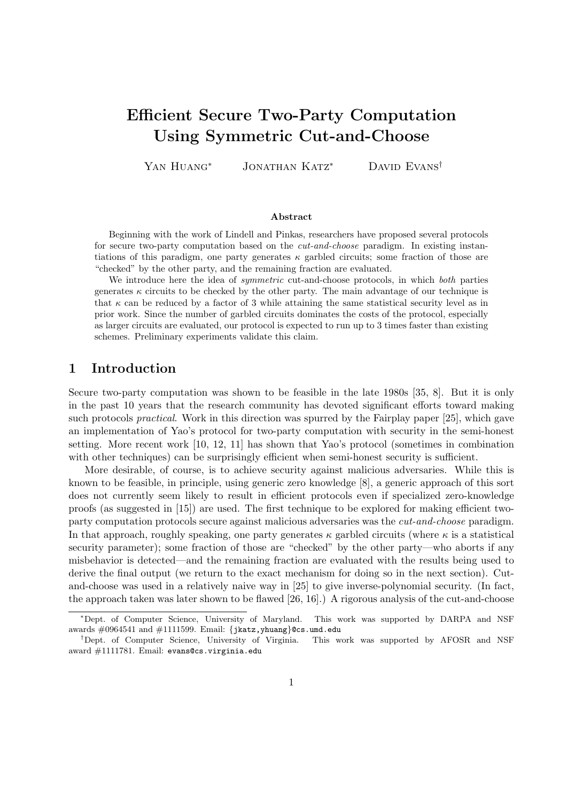# **Efficient Secure Two-Party Computation Using Symmetric Cut-and-Choose**

Yan Huang*<sup>∗</sup>* Jonathan Katz*<sup>∗</sup>* David Evans*†*

#### **Abstract**

Beginning with the work of Lindell and Pinkas, researchers have proposed several protocols for secure two-party computation based on the *cut-and-choose* paradigm. In existing instantiations of this paradigm, one party generates  $\kappa$  garbled circuits; some fraction of those are "checked" by the other party, and the remaining fraction are evaluated.

We introduce here the idea of *symmetric* cut-and-choose protocols, in which *both* parties generates  $\kappa$  circuits to be checked by the other party. The main advantage of our technique is that  $\kappa$  can be reduced by a factor of 3 while attaining the same statistical security level as in prior work. Since the number of garbled circuits dominates the costs of the protocol, especially as larger circuits are evaluated, our protocol is expected to run up to 3 times faster than existing schemes. Preliminary experiments validate this claim.

## **1 Introduction**

Secure two-party computation was shown to be feasible in the late 1980s [35, 8]. But it is only in the past 10 years that the research community has devoted significant efforts toward making such protocols *practical*. Work in this direction was spurred by the Fairplay paper [25], which gave an implementation of Yao's protocol for two-party computation with security in the semi-honest setting. More recent work [10, 12, 11] has shown that Yao's protocol (sometimes in combination with other techniques) can be surprisingly efficient when semi-honest security is sufficient.

More desirable, of course, is to achieve security against malicious adversaries. While this is known to be feasible, in principle, using generic zero knowledge [8], a generic approach of this sort does not currently seem likely to result in efficient protocols even if specialized zero-knowledge proofs (as suggested in [15]) are used. The first technique to be explored for making efficient twoparty computation protocols secure against malicious adversaries was the *cut-and-choose* paradigm. In that approach, roughly speaking, one party generates  $\kappa$  garbled circuits (where  $\kappa$  is a statistical security parameter); some fraction of those are "checked" by the other party—who aborts if any misbehavior is detected—and the remaining fraction are evaluated with the results being used to derive the final output (we return to the exact mechanism for doing so in the next section). Cutand-choose was used in a relatively naive way in [25] to give inverse-polynomial security. (In fact, the approach taken was later shown to be flawed [26, 16].) A rigorous analysis of the cut-and-choose

*<sup>∗</sup>*Dept. of Computer Science, University of Maryland. This work was supported by DARPA and NSF awards #0964541 and #1111599. Email: *{*jkatz,yhuang*}*@cs.umd.edu

*<sup>†</sup>*Dept. of Computer Science, University of Virginia. This work was supported by AFOSR and NSF award #1111781. Email: evans@cs.virginia.edu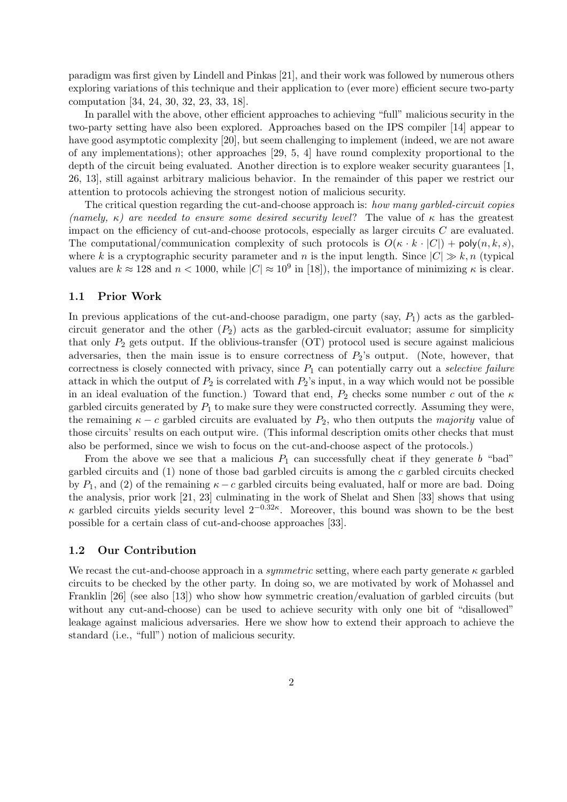paradigm was first given by Lindell and Pinkas [21], and their work was followed by numerous others exploring variations of this technique and their application to (ever more) efficient secure two-party computation [34, 24, 30, 32, 23, 33, 18].

In parallel with the above, other efficient approaches to achieving "full" malicious security in the two-party setting have also been explored. Approaches based on the IPS compiler [14] appear to have good asymptotic complexity [20], but seem challenging to implement (indeed, we are not aware of any implementations); other approaches [29, 5, 4] have round complexity proportional to the depth of the circuit being evaluated. Another direction is to explore weaker security guarantees [1, 26, 13], still against arbitrary malicious behavior. In the remainder of this paper we restrict our attention to protocols achieving the strongest notion of malicious security.

The critical question regarding the cut-and-choose approach is: *how many garbled-circuit copies (namely,*  $\kappa$ *)* are needed to ensure some desired security level? The value of  $\kappa$  has the greatest impact on the efficiency of cut-and-choose protocols, especially as larger circuits *C* are evaluated. The computational/communication complexity of such protocols is  $O(\kappa \cdot k \cdot |C|) + \text{poly}(n, k, s)$ , where *k* is a cryptographic security parameter and *n* is the input length. Since  $|C| \gg k$ , *n* (typical values are  $k \approx 128$  and  $n < 1000$ , while  $|C| \approx 10^9$  in [18]), the importance of minimizing  $\kappa$  is clear.

### **1.1 Prior Work**

In previous applications of the cut-and-choose paradigm, one party  $(say, P_1)$  acts as the garbledcircuit generator and the other  $(P_2)$  acts as the garbled-circuit evaluator; assume for simplicity that only *P*<sup>2</sup> gets output. If the oblivious-transfer (OT) protocol used is secure against malicious adversaries, then the main issue is to ensure correctness of *P*2's output. (Note, however, that correctness is closely connected with privacy, since *P*<sup>1</sup> can potentially carry out a *selective failure* attack in which the output of  $P_2$  is correlated with  $P_2$ 's input, in a way which would not be possible in an ideal evaluation of the function.) Toward that end,  $P_2$  checks some number *c* out of the  $\kappa$ garbled circuits generated by  $P_1$  to make sure they were constructed correctly. Assuming they were, the remaining  $\kappa - c$  garbled circuits are evaluated by  $P_2$ , who then outputs the *majority* value of those circuits' results on each output wire. (This informal description omits other checks that must also be performed, since we wish to focus on the cut-and-choose aspect of the protocols.)

From the above we see that a malicious  $P_1$  can successfully cheat if they generate *b* "bad" garbled circuits and (1) none of those bad garbled circuits is among the *c* garbled circuits checked by  $P_1$ , and (2) of the remaining  $\kappa - c$  garbled circuits being evaluated, half or more are bad. Doing the analysis, prior work [21, 23] culminating in the work of Shelat and Shen [33] shows that using *κ* garbled circuits yields security level 2*−*0*.*32*<sup>κ</sup>* . Moreover, this bound was shown to be the best possible for a certain class of cut-and-choose approaches [33].

## **1.2 Our Contribution**

We recast the cut-and-choose approach in a *symmetric* setting, where each party generate  $\kappa$  garbled circuits to be checked by the other party. In doing so, we are motivated by work of Mohassel and Franklin [26] (see also [13]) who show how symmetric creation/evaluation of garbled circuits (but without any cut-and-choose) can be used to achieve security with only one bit of "disallowed" leakage against malicious adversaries. Here we show how to extend their approach to achieve the standard (i.e., "full") notion of malicious security.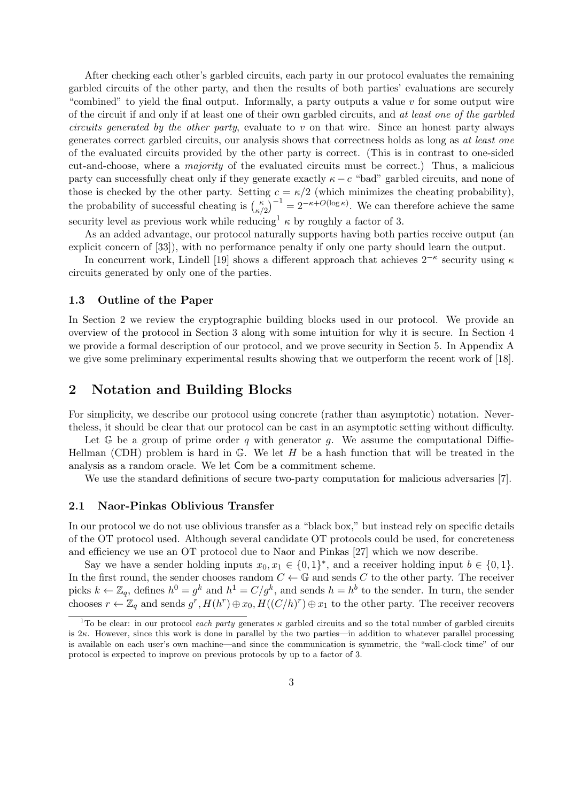After checking each other's garbled circuits, each party in our protocol evaluates the remaining garbled circuits of the other party, and then the results of both parties' evaluations are securely "combined" to yield the final output. Informally, a party outputs a value *v* for some output wire of the circuit if and only if at least one of their own garbled circuits, and *at least one of the garbled circuits generated by the other party*, evaluate to *v* on that wire. Since an honest party always generates correct garbled circuits, our analysis shows that correctness holds as long as *at least one* of the evaluated circuits provided by the other party is correct. (This is in contrast to one-sided )cut-and-choose, where a *majority* of the evaluated circuits must be correct.) Thus, a malicious party can successfully cheat only if they generate exactly  $\kappa - c$  "bad" garbled circuits, and none of those is checked by the other party. Setting  $c = \kappa/2$  (which minimizes the cheating probability), of the evaluated circuits provided by the c<br>cut-and-choose, where a *majority* of the e<br>party can successfully cheat only if they ger<br>those is checked by the other party. Settin<br>the probability of successful cheating is  $\$  $\binom{\kappa}{\kappa/2}^{-1} = 2^{-\kappa+O(\log \kappa)}$ . We can therefore achieve the same security level as previous work while reducing<sup>1</sup>  $\kappa$  by roughly a factor of 3.

As an added advantage, our protocol naturally supports having both parties receive output (an explicit concern of [33]), with no performance penalty if only one party should learn the output.

In concurrent work, Lindell [19] shows a different approach that achieves 2*−<sup>κ</sup>* security using *κ* circuits generated by only one of the parties.

#### **1.3 Outline of the Paper**

In Section 2 we review the cryptographic building blocks used in our protocol. We provide an overview of the protocol in Section 3 along with some intuition for why it is secure. In Section 4 we provide a formal description of our protocol, and we prove security in Section 5. In Appendix A we give some preliminary experimental results showing that we outperform the recent work of [18].

# **2 Notation and Building Blocks**

For simplicity, we describe our protocol using concrete (rather than asymptotic) notation. Nevertheless, it should be clear that our protocol can be cast in an asymptotic setting without difficulty.

Let G be a group of prime order *q* with generator *g*. We assume the computational Diffie-Hellman (CDH) problem is hard in G. We let *H* be a hash function that will be treated in the analysis as a random oracle. We let Com be a commitment scheme.

We use the standard definitions of secure two-party computation for malicious adversaries [7].

## **2.1 Naor-Pinkas Oblivious Transfer**

In our protocol we do not use oblivious transfer as a "black box," but instead rely on specific details of the OT protocol used. Although several candidate OT protocols could be used, for concreteness and efficiency we use an OT protocol due to Naor and Pinkas [27] which we now describe.

Say we have a sender holding inputs  $x_0, x_1 \in \{0, 1\}^*$ , and a receiver holding input  $b \in \{0, 1\}$ . In the first round, the sender chooses random  $C \leftarrow \mathbb{G}$  and sends  $C$  to the other party. The receiver picks  $k \leftarrow \mathbb{Z}_q$ , defines  $h^0 = g^k$  and  $h^1 = C/g^k$ , and sends  $h = h^b$  to the sender. In turn, the sender chooses  $r \leftarrow \mathbb{Z}_q$  and sends  $g^r$ ,  $H(h^r) \oplus x_0$ ,  $H((C/h)^r) \oplus x_1$  to the other party. The receiver recovers

<sup>&</sup>lt;sup>1</sup>To be clear: in our protocol *each party* generates  $\kappa$  garbled circuits and so the total number of garbled circuits is  $2\kappa$ . However, since this work is done in parallel by the two parties—in addition to whatever parallel processing is available on each user's own machine—and since the communication is symmetric, the "wall-clock time" of our protocol is expected to improve on previous protocols by up to a factor of 3.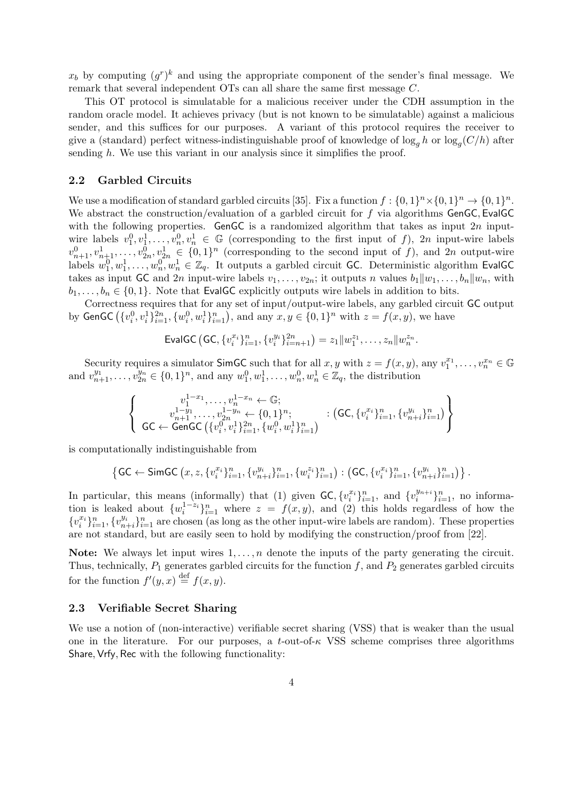$x_b$  by computing  $(g<sup>r</sup>)<sup>k</sup>$  and using the appropriate component of the sender's final message. We remark that several independent OTs can all share the same first message *C*.

This OT protocol is simulatable for a malicious receiver under the CDH assumption in the random oracle model. It achieves privacy (but is not known to be simulatable) against a malicious sender, and this suffices for our purposes. A variant of this protocol requires the receiver to give a (standard) perfect witness-indistinguishable proof of knowledge of  $\log_g h$  or  $\log_g (C/h)$  after sending *h*. We use this variant in our analysis since it simplifies the proof.

#### **2.2 Garbled Circuits**

We use a modification of standard garbled circuits [35]. Fix a function  $f: \{0,1\}^n \times \{0,1\}^n \to \{0,1\}^n$ . We abstract the construction/evaluation of a garbled circuit for *f* via algorithms GenGC*,* EvalGC with the following properties. GenGC is a randomized algorithm that takes as input 2*n* inputwire labels  $v_1^0, v_1^1, \ldots, v_n^0, v_n^1 \in \mathbb{G}$  (corresponding to the first input of *f*), 2*n* input-wire labels  $v_{n+1}^0, v_{n+1}^1, \ldots, v_{2n}^0, v_{2n}^1 \in \{0, 1\}^n$  (corresponding to the second input of *f*), and 2*n* output-wire labels  $w_1^0, w_1^1, \ldots, w_n^0, w_n^1 \in \mathbb{Z}_q$ . It outputs a garbled circuit GC. Deterministic algorithm EvalGC takes as input GC and 2*n* input-wire labels  $v_1, \ldots, v_{2n}$ ; it outputs *n* values  $b_1 || w_1, \ldots, b_n || w_n$ , with  $b$ takes as input GC and 2*n* input-wire labels  $v_1, \ldots, v_{2n}$ ; it outputs *n* values  $b_1 || w_1, \ldots, b_n || w_n$ , with  $b_1, \ldots, b_n \in \{0,1\}$ . Note that EvalGC explicitly outputs wire labels in addition to bits.

Correctness requires that for any set of input/output-wire labels, any garbled circuit GC output  $\{v_i^0, v_i^1\}_{i=1}^{2n}, \{w_i^0, w_i^1\}_{i=1}^n$ , and any  $x, y \in \{0, 1\}^n$  with  $z = f(x, y)$ , we have that EvalGC explicitly output:<br>
res that for any set of input/output<br>  $\{w_i^0, w_i^1\}_{i=1}^n$ , and any  $x, y \in \{0\}$ <br>
EvalGC (GC,  $\{v_i^{x_i}\}_{i=1}^n$ ,  $\{v_i^{y_i}\}_{i=n+1}^{2n}$ )

$$
\mathsf{EvalGC}\left(\mathsf{GC}, \{v_i^{x_i}\}_{i=1}^n, \{v_i^{y_i}\}_{i=n+1}^{2n}\right) = z_1 \|w_1^{z_1}, \ldots, z_n\| w_n^{z_n}.
$$

Security requires a simulator SimGC such that for all *x*, *y* with  $z = f(x, y)$ , any  $v_1^{x_1}, \ldots, v_n^{x_n} \in \mathbb{G}$ <br>  $\{v_{n+1}^{y_1}, \ldots, v_{2n}^{y_n} \in \{0, 1\}^n$ , and any  $w_1^0, w_1^1, \ldots, w_n^0, w_n^1 \in \mathbb{Z}_q$ , the distribution<br>  $\$ 

and 
$$
v_{n+1}^{y_1}, \ldots, v_{2n}^{y_n} \in \{0, 1\}^n
$$
, and any  $w_1^0, w_1^1, \ldots, w_n^0, w_n^1 \in \mathbb{Z}_q$ , the distribution  
\n
$$
\begin{cases}\nv_1^{1-y_1}, \ldots, v_n^{1-x_n} \leftarrow \mathbb{G}; \\
v_{n+1}^{1-y_1}, \ldots, v_{2n}^{1-y_n} \leftarrow \{0, 1\}^n; \\
\mathsf{GC} \leftarrow \mathsf{GenGC}\left(\{v_i^0, v_i^1\}_{i=1}^{2n}, \{w_i^0, w_i^1\}_{i=1}^n\right)\n\end{cases} : \left(\mathsf{GC}, \{v_i^{x_i}\}_{i=1}^n, \{v_{n+i}^{y_i}\}_{i=1}^{2n}\right)\n\begin{cases}\n\mathsf{G}\mathsf{C} \leftarrow \mathsf{SimGC}\left(\{v_i^0, v_i^1\}_{i=1}^{2n}, \{w_i^0, w_i^1\}_{i=1}^n\right) & \text{if } \mathsf{GC}, \{v_i^{x_i}\}_{i=1}^n, \{v_{n+i}^{y_i}\}_{i=1}^n\}.\n\end{cases}
$$

is computationally indistinguishable from

$$
\begin{cases}\n c_{n+1}^{v_{n+1}}, \ldots, c_{2n}^{v_{n+1}} \leftarrow \{0, 1\}^{v}; & \text{if } (0, \{v_i^j, j_{i=1}^j, \{v_{n+i}^j\}_{i=1}^j)\} \\
 \text{fationally indistinguishable from} \\
 \{ \mathsf{GC} \leftarrow \mathsf{SimGC}\left(x, z, \{v_i^{x_i}\}_{i=1}^n, \{v_{n+i}^{y_i}\}_{i=1}^n, \{w_i^{z_i}\}_{i=1}^n\} : \left(\mathsf{GC}, \{v_i^{x_i}\}_{i=1}^n, \{v_{n+i}^{y_i}\}_{i=1}^n\right)\}.\n \end{cases}
$$

In particular, this means (informally) that (1) given  $\mathsf{GC}, \{v_i^{x_i}\}_{i=1}^n$ , and  $\{v_i^{y_{n+i}}\}_{i=1}^n$  $\{a_i^{y_{n+i}}\}_{i=1}^n$ , no information is leaked about  $\{w_i^{1-z_i}\}_{i=1}^n$  where  $z = f(x, y)$ , and (2) this holds regardless of how the  $\{v_i^{x_i}\}_{i=1}^n, \{v_{n+i}^{y_i}\}_{i=1}^n$  are chosen (as long as the other input-wire labels are random). These properties are not standard, but are easily seen to hold by modifying the construction/proof from [22].

**Note:** We always let input wires 1*, . . . , n* denote the inputs of the party generating the circuit. Thus, technically,  $P_1$  generates garbled circuits for the function  $f$ , and  $P_2$  generates garbled circuits for the function  $f'(y, x) \stackrel{\text{def}}{=} f(x, y)$ .

## **2.3 Verifiable Secret Sharing**

We use a notion of (non-interactive) verifiable secret sharing (VSS) that is weaker than the usual one in the literature. For our purposes, a  $t$ -out-of- $\kappa$  VSS scheme comprises three algorithms Share*,* Vrfy*,* Rec with the following functionality: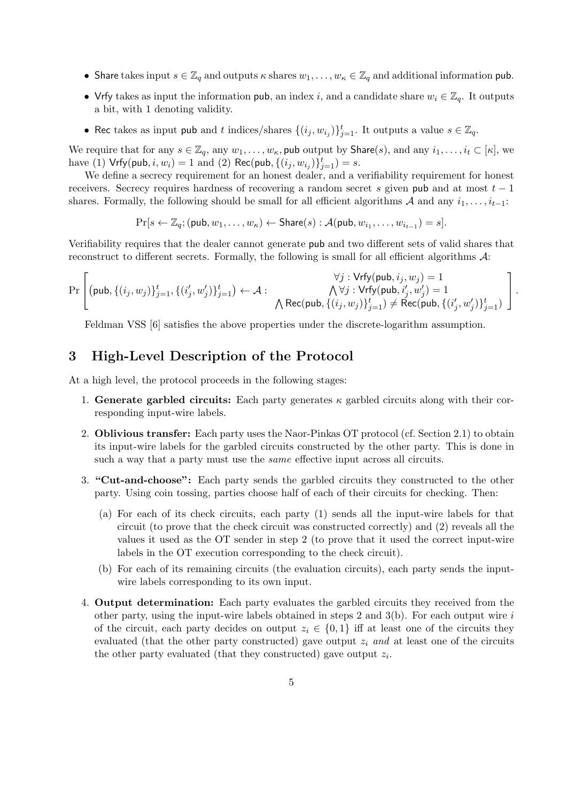- Share takes input  $s \in \mathbb{Z}_q$  and outputs  $\kappa$  shares  $w_1, \ldots, w_\kappa \in \mathbb{Z}_q$  and additional information pub.
- Vrfy takes as input the information pub, an index *i*, and a candidate share  $w_i \in \mathbb{Z}_q$ . It outputs a bit, with 1 denoting validity.
- Rec takes as input pub and *t* indices/shares  $\{(i_j, w_{i_j})\}_{j=1}^t$ . It outputs a value  $s \in \mathbb{Z}_q$ .

We require that for any  $s \in \mathbb{Z}_q$ , any  $w_1, \ldots, w_\kappa$ , pub output by Share(*s*), and any  $i_1, \ldots, i_t \in [\kappa]$ , we have (1)  $Vrfy(pub, i, w_i) = 1$  and (2)  $Rec(pub, \{(i_j, w_{i_j})\}_{j=1}^t) = s$ .

We define a secrecy requirement for an honest dealer, and a verifiability requirement for honest receivers. Secrecy requires hardness of recovering a random secret *s* given pub and at most *t −* 1 shares. Formally, the following should be small for all efficient algorithms  $A$  and any  $i_1, \ldots, i_{t-1}$ :

$$
\Pr[s \leftarrow \mathbb{Z}_q; (\mathsf{pub}, w_1, \dots, w_\kappa) \leftarrow \mathsf{Share}(s) : \mathcal{A}(\mathsf{pub}, w_{i_1}, \dots, w_{i_{t-1}}) = s].
$$

reconstruct to different secrets. Formally, the following is small for all efficient algorithms *A*: ∧

Verifiability requires that the dealer cannot generate **pub** and two different sets of valid shares that reconstruct to different secrets. Formally, the following is small for all efficient algorithms 
$$
\mathcal{A}
$$
:

\nPr\n
$$
\left[\n\begin{array}{cc}\n(\mathsf{pub}, \{(i_j, w_j)\}_{j=1}^t, \{(i'_j, w'_j)\}_{j=1}^t) \leftarrow \mathcal{A} : & \bigwedge \forall j : \mathsf{Vrfy}(\mathsf{pub}, i'_j, w'_j) = 1 \\
& \bigwedge \mathsf{Rec}(\mathsf{pub}, \{(i_j, w_j)\}_{j=1}^t) \neq \mathsf{Rec}(\mathsf{pub}, \{(i'_j, w'_j)\}_{j=1}^t)\n\end{array}\n\right].
$$

Feldman VSS [6] satisfies the above properties under the discrete-logarithm assumption.

## **3 High-Level Description of the Protocol**

At a high level, the protocol proceeds in the following stages:

- 1. **Generate garbled circuits:** Each party generates  $\kappa$  garbled circuits along with their corresponding input-wire labels.
- 2. **Oblivious transfer:** Each party uses the Naor-Pinkas OT protocol (cf. Section 2.1) to obtain its input-wire labels for the garbled circuits constructed by the other party. This is done in such a way that a party must use the *same* effective input across all circuits.
- 3. **"Cut-and-choose":** Each party sends the garbled circuits they constructed to the other party. Using coin tossing, parties choose half of each of their circuits for checking. Then:
	- (a) For each of its check circuits, each party (1) sends all the input-wire labels for that circuit (to prove that the check circuit was constructed correctly) and (2) reveals all the values it used as the OT sender in step 2 (to prove that it used the correct input-wire labels in the OT execution corresponding to the check circuit).
	- (b) For each of its remaining circuits (the evaluation circuits), each party sends the inputwire labels corresponding to its own input.
- 4. **Output determination:** Each party evaluates the garbled circuits they received from the other party, using the input-wire labels obtained in steps 2 and 3(b). For each output wire *i* of the circuit, each party decides on output  $z_i \in \{0,1\}$  iff at least one of the circuits they evaluated (that the other party constructed) gave output *z<sup>i</sup> and* at least one of the circuits the other party evaluated (that they constructed) gave output *z<sup>i</sup>* .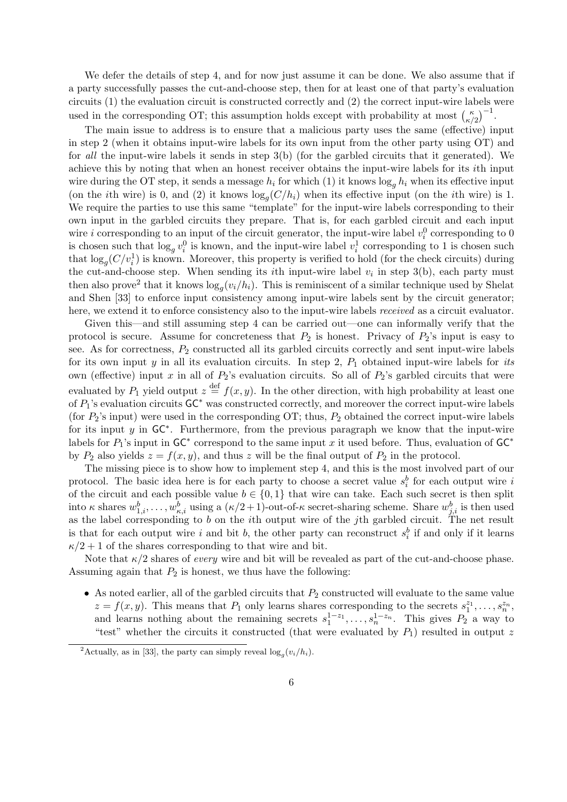We defer the details of step 4, and for now just assume it can be done. We also assume that if a party successfully passes the cut-and-choose step, then for at least one of that party's evaluation circuits (1) the evaluation circuit is constructed correctly and (2) the correct input-wire labels were We defer the details of step 4, and for now just assume it can be done. We also assum<br>a party successfully passes the cut-and-choose step, then for at least one of that party's ever<br>circuits (1) the evaluation circuit is  $\binom{\kappa}{\kappa/2}^{-1}$ .

The main issue to address is to ensure that a malicious party uses the same (effective) input in step 2 (when it obtains input-wire labels for its own input from the other party using OT) and for *all* the input-wire labels it sends in step 3(b) (for the garbled circuits that it generated). We achieve this by noting that when an honest receiver obtains the input-wire labels for its *i*th input wire during the OT step, it sends a message  $h_i$  for which (1) it knows  $\log_a h_i$  when its effective input (on the *i*th wire) is 0, and (2) it knows  $\log_g(C/h_i)$  when its effective input (on the *i*th wire) is 1. We require the parties to use this same "template" for the input-wire labels corresponding to their own input in the garbled circuits they prepare. That is, for each garbled circuit and each input wire *i* corresponding to an input of the circuit generator, the input-wire label  $v_i^0$  corresponding to 0 is chosen such that  $\log_g v_i^0$  is known, and the input-wire label  $v_i^1$  corresponding to 1 is chosen such that  $\log_g(C/v_i^1)$  is known. Moreover, this property is verified to hold (for the check circuits) during the cut-and-choose step. When sending its *i*th input-wire label  $v_i$  in step 3(b), each party must then also prove<sup>2</sup> that it knows  $\log_g(v_i/h_i)$ . This is reminiscent of a similar technique used by Shelat and Shen [33] to enforce input consistency among input-wire labels sent by the circuit generator; here, we extend it to enforce consistency also to the input-wire labels *received* as a circuit evaluator.

Given this—and still assuming step 4 can be carried out—one can informally verify that the protocol is secure. Assume for concreteness that *P*<sup>2</sup> is honest. Privacy of *P*2's input is easy to see. As for correctness, *P*<sup>2</sup> constructed all its garbled circuits correctly and sent input-wire labels for its own input  $y$  in all its evaluation circuits. In step 2,  $P_1$  obtained input-wire labels for *its* own (effective) input x in all of  $P_2$ 's evaluation circuits. So all of  $P_2$ 's garbled circuits that were evaluated by  $P_1$  yield output  $z \stackrel{\text{def}}{=} f(x, y)$ . In the other direction, with high probability at least one of *P*1's evaluation circuits GC*<sup>∗</sup>* was constructed correctly, and moreover the correct input-wire labels (for *P*2's input) were used in the corresponding OT; thus, *P*<sup>2</sup> obtained the correct input-wire labels for its input *y* in GC*∗* . Furthermore, from the previous paragraph we know that the input-wire labels for *P*1's input in GC*<sup>∗</sup>* correspond to the same input *x* it used before. Thus, evaluation of GC*∗* by  $P_2$  also yields  $z = f(x, y)$ , and thus *z* will be the final output of  $P_2$  in the protocol.

The missing piece is to show how to implement step 4, and this is the most involved part of our protocol. The basic idea here is for each party to choose a secret value  $s_i^b$  for each output wire *i* of the circuit and each possible value  $b \in \{0,1\}$  that wire can take. Each such secret is then split into *κ* shares  $w_{1,i}^b, \ldots, w_{\kappa,i}^b$  using a  $(\kappa/2+1)$ -out-of-*κ* secret-sharing scheme. Share  $w_{j,i}^b$  is then used as the label corresponding to *b* on the *i*th output wire of the *j*th garbled circuit. The net result is that for each output wire *i* and bit *b*, the other party can reconstruct  $s_i^b$  if and only if it learns  $\kappa/2 + 1$  of the shares corresponding to that wire and bit.

Note that  $\kappa/2$  shares of *every* wire and bit will be revealed as part of the cut-and-choose phase. Assuming again that  $P_2$  is honest, we thus have the following:

• As noted earlier, all of the garbled circuits that  $P_2$  constructed will evaluate to the same value  $z = f(x, y)$ . This means that  $P_1$  only learns shares corresponding to the secrets  $s_1^{z_1}, \ldots, s_n^{z_n}$ and learns nothing about the remaining secrets  $s_1^{1-z_1}, \ldots, s_n^{1-z_n}$ . This gives  $P_2$  a way to "test" whether the circuits it constructed (that were evaluated by  $P_1$ ) resulted in output  $z$ 

<sup>&</sup>lt;sup>2</sup>Actually, as in [33], the party can simply reveal  $\log_g(v_i/h_i)$ .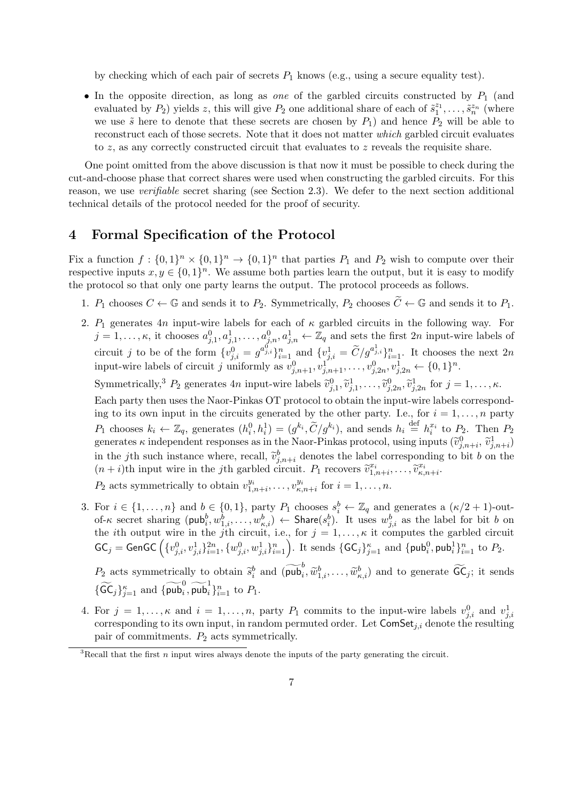by checking which of each pair of secrets *P*<sup>1</sup> knows (e.g., using a secure equality test).

• In the opposite direction, as long as *one* of the garbled circuits constructed by  $P_1$  (and evaluated by  $P_2$ ) yields *z*, this will give  $P_2$  one additional share of each of  $\tilde{s}_1^{z_1}, \ldots, \tilde{s}_n^{z_n}$  (where we use  $\tilde{s}$  here to denote that these secrets are chosen by  $P_1$ ) and hence  $P_2$  will be able to reconstruct each of those secrets. Note that it does not matter *which* garbled circuit evaluates to *z*, as any correctly constructed circuit that evaluates to *z* reveals the requisite share.

One point omitted from the above discussion is that now it must be possible to check during the cut-and-choose phase that correct shares were used when constructing the garbled circuits. For this reason, we use *verifiable* secret sharing (see Section 2.3). We defer to the next section additional technical details of the protocol needed for the proof of security.

## **4 Formal Specification of the Protocol**

Fix a function  $f: \{0,1\}^n \times \{0,1\}^n \to \{0,1\}^n$  that parties  $P_1$  and  $P_2$  wish to compute over their respective inputs  $x, y \in \{0, 1\}^n$ . We assume both parties learn the output, but it is easy to modify the protocol so that only one party learns the output. The protocol proceeds as follows.

- 1.  $P_1$  chooses  $C \leftarrow \mathbb{G}$  and sends it to  $P_2$ . Symmetrically,  $P_2$  chooses  $\widetilde{C} \leftarrow \mathbb{G}$  and sends it to  $P_1$ .
- 2.  $P_1$  generates  $4n$  input-wire labels for each of  $\kappa$  garbled circuits in the following way. For  $j = 1, \ldots, \kappa$ , it chooses  $a_{j,1}^0, a_{j,1}^1, \ldots, a_{j,n}^0, a_{j,n}^1 \leftarrow \mathbb{Z}_q$  and sets the first 2*n* input-wire labels of circuit *j* to be of the form  $\{v_{j,i}^0 = g^{a_{j,i}^0}\}_{i=1}^n$  and  $\{v_{j,i}^1 = \tilde{C}/g^{a_{j,i}^1}\}_{i=1}^n$ . It chooses the next 2*n* lly,  $P_2$  choot<br>
arbled circ<br>
and sets t<br>  $j_i^1 = \widetilde{C}/g^a$ input-wire labels of circuit *j* uniformly as  $v_{j,n+1}^0, v_{j,n+1}^1, \ldots, v_{j,2n}^0, v_{j,2n}^1 \leftarrow \{0,1\}^n$ .  $j = 1, \ldots, \kappa$ , it chooses  $a_{j,1}^{\alpha}, a_{j,1}^{\alpha}, \ldots, a_{j,n}^{\alpha}, a_{j,n}^{\alpha} \leftarrow \mathbb{Z}_q$  and sets the circuit  $j$  to be of the form  $\{v_{j,i}^0 = g^{a_{j,i}^0}\}_{i=1}^n$  and  $\{v_{j,i}^1 = \widetilde{C}/g^{a_{j,i}^1}\}$  input-wire labels of circuit  $j$  $\begin{align} \n\text{ad} &= \\ \n&= 1, \\ \n\tilde{v} \n\end{align}$ *, v*e

 $\widetilde{v}_{j,1}^0, \widetilde{v}_{j,1}^1, \ldots, \widetilde{v}_{j,2n}^0, \widetilde{v}_{j,2n}^1$  for  $j = 1, \ldots, \kappa$ .

Each party then uses the Naor-Pinkas OT protocol to obtain the input-wire labels corresponding to its own input in the circuits generated by the other party. I.e., for  $i = 1, \ldots, n$  party Symmetrically,<sup>3</sup>  $P_2$  generates 4*n* input-wire labels  $\tilde{v}_{j,1}^0, \tilde{v}_{j,1}^1, \ldots, \tilde{v}_{j,2n}^0, \tilde{v}_{j,2n}^1$  for  $j = 1, \ldots, \kappa$ .<br>Each party then uses the Naor-Pinkas OT protocol to obtain the input-wire labels cor Each party then uses the Naor-Pinkas OT protocol to obtain the input-wire labels corresponding to its own input in the circuits generated by the other party. I.e., for  $i = 1, ..., n$  party  $P_1$  chooses  $k_i \leftarrow \mathbb{Z}_q$ , generat ing to its own input in the circuits gene<br>  $P_1$  chooses  $k_i \leftarrow \mathbb{Z}_q$ , generates  $(h_i^0, h_i^1)$ <br>
generates  $\kappa$  independent responses as in t<br>
in the *j*th such instance where, recall,  $\tilde{v}$  $b_{j,n+i}^b$  denotes the label corresponding to bit *b* on the  $P_1$  chooses  $k_i \leftarrow \mathbb{Z}_q$ , generates  $(h_i^0, h_i^1) = (g^{k_i}, \widetilde{C}/g^{k_i})$ , and sends  $h_i \stackrel{\text{def}}{=}$  generates  $\kappa$  independent responses as in the Naor-Pinkas protocol, using in the *j*th such instance where, recall,  $\widetilde$  $\widetilde{v}_{k,n+i}^{x_i}, \ldots, \widetilde{v}_{k,n+i}^{x_i}.$ 

*P*<sub>2</sub> acts symmetrically to obtain  $v_{1,n+i}^{y_i}, \ldots, v_{\kappa,n+i}^{y_i}$  for  $i = 1, \ldots, n$ .

3. For  $i \in \{1, ..., n\}$  and  $b \in \{0, 1\}$ , party  $P_1$  chooses  $s_i^b \leftarrow \mathbb{Z}_q$  and generates a  $(\kappa/2 + 1)$ -outof- $\kappa$  secret sharing  $(\text{pub}_i^b, w_{1,i}^b, \ldots, w_{\kappa,i}^b) \leftarrow \text{Share}(s_i^b)$ . It uses  $w_{j,i}^b$  as the label for bit b on the *i*th output wire in the *j*th circuit, i.e., for  $j = 1, \ldots, \kappa$  it computes the garbled circuit For  $i \in \{1, ..., n\}$  and  $b \in \{0, 1\}$ , party  $P_1$ <br>of- $\kappa$  secret sharing  $(\text{pub}_i^b, w_{1,i}^b, ..., w_{\kappa,i}^b) \leftarrow$ <br>the *i*th output wire in the *j*th circuit, i.e.,<br> $\mathsf{GC}_j = \mathsf{GenGC}\left(\{v_{j,i}^0, v_{j,i}^1\}_{i=1}^{2n}, \{w_{j,i}^0, w_{j,i}^1\}_{i$  $\{v_{j,i}^0, v_{j,i}^1\}_{i=1}^{2n}, \{w_{j,i}^0, w_{j,i}^1\}_{i=1}^n\}$ . It sends  $\{\mathsf{GC}_j\}_{j=1}^{\kappa}$  and  $\{\mathsf{pub}_i^0, \mathsf{pub}_i^1\}_{i=1}^n$  to  $P_2$ . *P*<sub>2</sub> acts symmetrically to obtain  $\tilde{s}_i^b$  and  $(\overline{\text{pub}}_i^b, \tilde{w}_{1,i}^b, \ldots, \tilde{w}_{\kappa,i}^c)$  and to generate  $\widetilde{\text{GC}}_j = \text{GenGC}\left(\{v_{j,i}^0, v_{j,i}^1\}_{i=1}^{2n}, \{w_{j,i}^0, w_{j,i}^1\}_{i=1}^{2n}\right)$ . It sends  $\{\text{GC}_j\}_{j=1}^{\kappa}$ 

 $\hat{u}^b_i$  and  $(\overline{\mathsf{pub}}^b_i, \widetilde{w}^b_{1,i}, \dots, \widetilde{w}^b_{\kappa})$  $\mathsf{GC}_j = \mathsf{GenGC}\left(\{v_{j,i}^0, v_{j,i}^1\}_{i}^2\right)$ <br> *P*<sub>2</sub> acts symmetrically to  $\{\widetilde{\mathsf{GC}}_j\}_{j=1}^{\kappa}$  and  $\{\widetilde{\mathsf{pub}}_i^0, \widetilde{\mathsf{pub}}_i^1\}$  $\sum_{j=1}^{\kappa}$  and  $\{\overline{\mathsf{pub}}_i, \overline{\mathsf{pub}}_i\}_{i=1}^n$  to  $P_1$ .

4. For  $j = 1, \ldots, \kappa$  and  $i = 1, \ldots, n$ , party  $P_1$  commits to the input-wire labels  $v_{j,i}^0$  and  $v_{j,i}^1$ corresponding to its own input, in random permuted order. Let  $\mathsf{ComSet}_{i,i}$  denote the resulting pair of commitments. *P*<sup>2</sup> acts symmetrically.

<sup>3</sup>Recall that the first *n* input wires always denote the inputs of the party generating the circuit.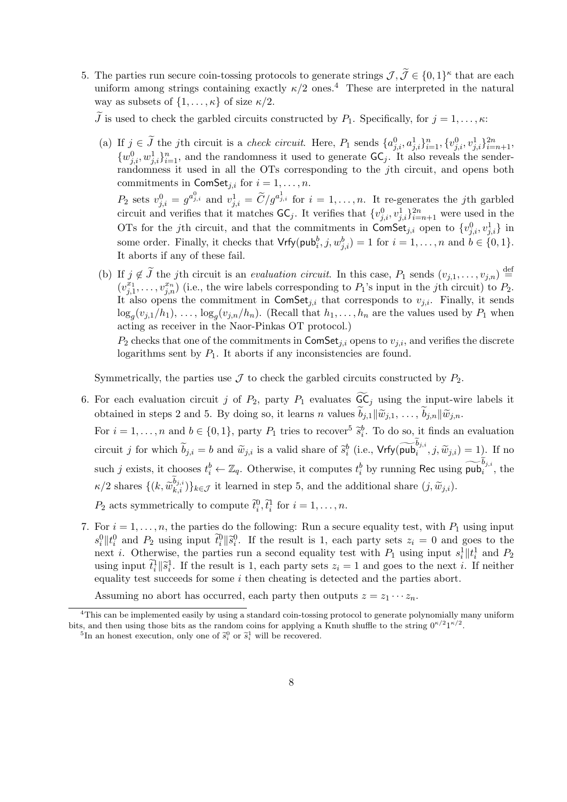5. The parties run secure coin-tossing protocols to generate strings  $\mathcal{J}, \tilde{\mathcal{J}} \in \{0,1\}^{\kappa}$  that are each uniform among strings containing exactly  $\kappa/2$  ones.<sup>4</sup> These are interpreted in the natural way as subs uniform among strings containing exactly  $\kappa/2$  ones.<sup>4</sup> These are interpreted in the natural way as subsets of  $\{1, \ldots, \kappa\}$  of size  $\kappa/2$ . way as subsets of  $\{1, ..., \kappa\}$  of size  $\kappa/2$ .<br>  $\widetilde{I}$  is used to check the garbled circuits constructed by  $P_1$ . Specifically, for  $j = 1, ..., \kappa$ :<br>
(a) If  $j \in \widetilde{J}$  the *j*th circuit is a *check circuit*. Here,  $P_1$ 

 $\{w_{j,i}^0, w_{j,i}^1\}_{i=1}^n$ , and the randomness it used to generate  $\mathsf{GC}_j$ . It also reveals the sender-<br>randomness it used in all the OTs corresponding to the *j*th circuit, and opens both<br>commitments in  $\mathsf{ComSet}_{j,i}$  f randomness it used in all the OTs corresponding to the *j*th circuit, and opens both commitments in  $\textsf{ComSet}_{i,i}$  for  $i = 1, \ldots, n$ .  $P_2$  sets  $v_{j,i}^0 = g^{a_{j,i}^0}$  and  $v_{j,i}^1 = \widetilde{C}/g^{a_{j,i}^1}$  for  $i = 1, \ldots, n$ . It re-generates the *j*th garbled

circuit and verifies that it matches  $\mathsf{GC}_j$ . It verifies that  $\{v_{j,i}^0, v_{j,i}^1\}_{i=n+1}^{2n}$  were used in the OTs for the *j*th circuit, and that the commitments in ComSet<sub>*j,i*</sub> open to  $\{v_{j,i}^0, v_{j,i}^1\}$  in some order. Finally, it checks that  $Vrfy(pub_i^b, j, w_{j,i}^b) = 1$  for  $i = 1, \ldots, n$  and  $b \in \{0, 1\}$ . It aborts if any of these fail. OTs for the *j*th circuit, and that the commitments in ComSet<sub>j,i</sub> open to  $\{v_{j,i}^0, v_{j,i}^1\}$  in some order. Finally, it checks that  $Vrfy(pub_i^b, j, w_{j,i}^b) = 1$  for  $i = 1, ..., n$  and  $b \in \{0, 1\}$ .<br>It aborts if any of these f

 $(v_{j,1}^{x_1}, \ldots, v_{j,n}^{x_n})$  (i.e., the wire labels corresponding to  $P_1$ 's input in the *j*th circuit) to  $P_2$ . It also opens the commitment in  $ComSet_{i,i}$  that corresponds to  $v_{i,i}$ . Finally, it sends  $\log_g(v_{j,1}/h_1), \ldots, \log_g(v_{j,n}/h_n)$ . (Recall that  $h_1, \ldots, h_n$  are the values used by  $P_1$  when acting as receiver in the Naor-Pinkas OT protocol.)

 $P_2$  checks that one of the commitments in ComSet<sub>*j,i*</sub> opens to  $v_{j,i}$ , and verifies the discrete logarithms sent by  $P_1$ . It aborts if any inconsistencies are found. 6. For each evaluation circuit *j* of *P*<sub>2</sub>, party *P*<sub>1</sub> evaluates  $\widetilde{GC}_j$  using the input-wire labels it  $\widetilde{GC}_j$  using the input-wire labels it

Symmetrically, the parties use  $\mathcal J$  to check the garbled circuits constructed by  $P_2$ .

Symmetrically, the parties use  $\mathcal J$  to check the garbled circuits constructed by  $P_2$ .<br>For each evaluation circuit *j* of  $P_2$ , party  $P_1$  evaluates  $\widetilde{6C}_j$  using the input-wire obtained in steps 2 and 5. By doin For  $i = 1, \ldots, n$  and  $b \in \{0, 1\}$ , party  $P_1$  tries to recover<sup>5</sup>  $\tilde{s}_i^b$ . To do so, it finds an evaluation  $\overline{G}$   $\overline{G}$   $\overline{B}$   $\overline{S}$ For each evaluation circuit *j* of  $P_2$ , party  $P_1$  evaluates  $GC_j$  using the input-wire labels it obtained in steps 2 and 5. By doing so, it learns *n* values  $\tilde{b}_{j,1} || \tilde{w}_{j,1}, \ldots, \tilde{b}_{j,n} || \tilde{w}_{j,n}$ .<br>For  $i = 1, \$ 

such *j* exists, it chooses  $t_i^b \leftarrow \mathbb{Z}_q$ . Otherwise, it computes  $t_i^b$  by running Rec using  $\overline{\text{pub}}_i^{\overline{b}_{j,i}}$ , the For do so, it finds an evaluation.<br>
By running Rec using  $\widetilde{\phi}_{j,i}$ ,  $\widetilde{\psi}_{j,i}$  and  $\widetilde{\psi}_{j,i}$ ,  $\widetilde{\psi}_{j,i}$  and  $\widetilde{\psi}_{j,i}$  by running Rec using  $\widetilde{\mathsf{pub}}_{j,i}$ . *circuit j* for which  $\widetilde{b}_{j,i} = b$  and  $\widetilde{w}_{j,i}$  is a valid share of  $\widetilde{s}_i^b$  (i.e.,  $\mathsf{Vrfy}(\widetilde{\mathsf{pub}}_i^{b_{j,i}}, j, \widetilde{w}_{j,i}$ ) such *j* exists, it chooses  $t_i^b \leftarrow \mathbb{Z}_q$ . Otherwise, it computes  $t_i^b$  by running  $\kappa/2$  shares  $\{(k, \widetilde{w}_{k,i}^{b_{j,i}})\}_{k\in\mathcal{J}}$  it learned in step 5, and the additional share  $(j, \widetilde{w}_{j,i})$ . such *j* exists, it chooses  $t_i^b \leftarrow \mathbb{Z}_q$ . Ot  $\kappa/2$  shares  $\{(k, \widetilde{w}_{k,i}^{\widetilde{b}_{j,i}})\}_{k \in \mathcal{J}}$  it learned  $P_2$  acts symmetrically to compute  $\widetilde{t}_i^0$ *h*ei<br>*i*n<br>*,*  $\tilde{t}_i$ 

 $\widehat{t}_i^0, \widehat{t}_i^1$  for  $i = 1, \ldots, n$ .

7. For  $i = 1, \ldots, n$ , the parties do the following: Run a secure equality test, with  $P_1$  using input *h*<sup>1</sup> *P*<sub>2</sub> acts symmetrically to compute  $\tilde{t}_i^0$ ,  $\tilde{t}_i^1$  for  $i = 1, ..., n$ .<br>
For  $i = 1, ..., n$ , the parties do the following: Run a secure equality test, with *P*<sub>1</sub> using input  $s_i^0 || t_i^0$  and *P*<sub>2</sub> using input  $\tilde$ µ<br>µp<br>do<br>*∥§* next *i*. Otherwise, the parties run a second equality test with  $P_1$  using input  $s_i^1 \parallel t_i^1$  and  $P_2$ For  $i = 1, \ldots$ <br> $s_i^0 || t_i^0$  and  $P_2$ <br>next *i*. Other<br>using input  $\tilde{t}_i^0$  $i$ <sup>1</sup>/ $|\tilde{s}_i^1|$ . If the result is 1, each party sets  $z_i = 1$  and goes to the next *i*. If neither  $n,$ us<br>wi∷<br> $\|\widetilde{s}\|$ equality test succeeds for some *i* then cheating is detected and the parties abort.

Assuming no abort has occurred, each party then outputs  $z = z_1 \cdots z_n$ .

 $4$ This can be implemented easily by using a standard coin-tossing protocol to generate polynomially many uniform bits, and then using those bits as the random coins for applying a Knuth shuffle to the string  $0^{k/2}1^{k/2}$ .

<sup>&</sup>lt;sup>5</sup>In an honest execution, only one of  $\tilde{s}_i^0$  or  $\tilde{s}_i^1$  will be recovered.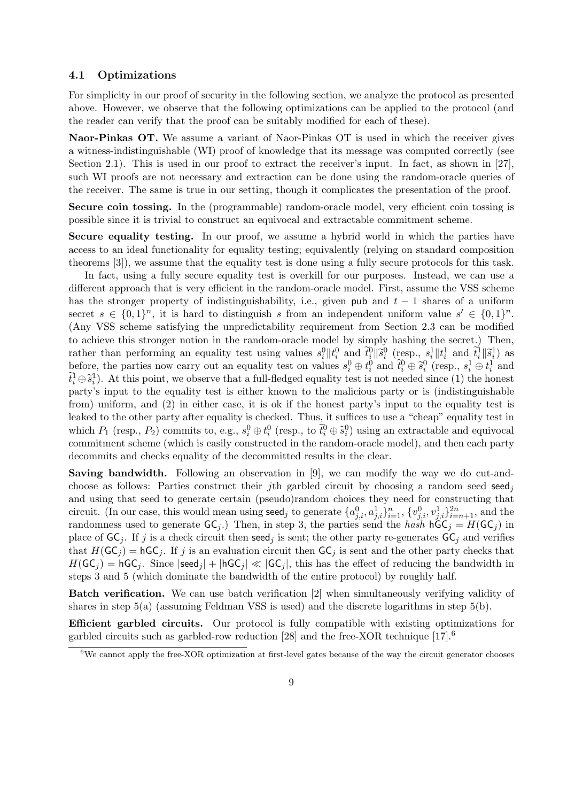#### **4.1 Optimizations**

For simplicity in our proof of security in the following section, we analyze the protocol as presented above. However, we observe that the following optimizations can be applied to the protocol (and the reader can verify that the proof can be suitably modified for each of these).

**Naor-Pinkas OT.** We assume a variant of Naor-Pinkas OT is used in which the receiver gives a witness-indistinguishable (WI) proof of knowledge that its message was computed correctly (see Section 2.1). This is used in our proof to extract the receiver's input. In fact, as shown in [27], such WI proofs are not necessary and extraction can be done using the random-oracle queries of the receiver. The same is true in our setting, though it complicates the presentation of the proof.

**Secure coin tossing.** In the (programmable) random-oracle model, very efficient coin tossing is possible since it is trivial to construct an equivocal and extractable commitment scheme.

**Secure equality testing.** In our proof, we assume a hybrid world in which the parties have access to an ideal functionality for equality testing; equivalently (relying on standard composition theorems [3]), we assume that the equality test is done using a fully secure protocols for this task.

In fact, using a fully secure equality test is overkill for our purposes. Instead, we can use a different approach that is very efficient in the random-oracle model. First, assume the VSS scheme has the stronger property of indistinguishability, i.e., given pub and  $t-1$  shares of a uniform secret  $s \in \{0,1\}^n$ , it is hard to distinguish *s* from an independent uniform value  $s' \in \{0,1\}^n$ . (Any VSS scheme satisfying the unpredictability requirement from Section 2.3 can be modified eto achieve this stronger notion in the random-oracle model by simply hashing the secret.) Then, nas the stronger property or maistinguishability, i.e., given pub and  $t-1$  shares or a uniform<br>secret  $s \in \{0,1\}^n$ , it is hard to distinguish s from an independent uniform value  $s' \in \{0,1\}^n$ .<br>(Any VSS scheme satisfy an∙<br>≀nt<br>µ<br>*∥ŝ*  ${0, 0}$ <br> ${1, 0}$ <br> ${1, 0}$ <br> ${1, 0}$ Secret  $s \in \{0,1\}^n$ , it is nard to distinguish s from an independent uniform value  $s \in \{0,1\}^n$ .<br>(Any VSS scheme satisfying the unpredictability requirement from Section 2.3 can be modified<br>to achieve this stronger no  $\tilde{t}_i^1 \oplus \tilde{s}_i^1$ ). At this point, we observe that a full-fledged equality test is not needed since (1) the honest *i* **m**y o acl<br>ather<br>pefore<br> $\frac{1}{i}$  ⊕  $\widetilde{s}_i$ party's input to the equality test is either known to the malicious party or is (indistinguishable from) uniform, and (2) in either case, it is ok if the honest party's input to the equality test is leaked to the other party after equality is checked. Thus, it suffices to use a "cheap" equality test in  $\bar{v}_i \oplus \bar{s}_i$ ). At this point, we observe that a full-hedged equality test is not needed since (1) the nonest<br>party's input to the equality test is either known to the malicious party or is (indistinguishable<br>from) uni commitment scheme (which is easily constructed in the random-oracle model), and then each party decommits and checks equality of the decommitted results in the clear.

**Saving bandwidth.** Following an observation in [9], we can modify the way we do cut-andchoose as follows: Parties construct their *j*th garbled circuit by choosing a random seed seed<sub>i</sub> and using that seed to generate certain (pseudo)random choices they need for constructing that circuit. (In our case, this would mean using seed<sub>j</sub> to generate  $\{a_{j,i}^0, a_{j,i}^1\}_{i=1}^n$ ,  $\{v_{j,i}^0, v_{j,i}^1\}_{i=n+1}^{2n}$ , and the randomness used to generate  $GC_j$ .) Then, in step 3, the parties send the *hash*  $hGC_j = H(GC_j)$  in place of  $GC_i$ . If *j* is a check circuit then seed<sub>*j*</sub> is sent; the other party re-generates  $GC_j$  and verifies that  $H(GC_j) = hGC_j$ . If *j* is an evaluation circuit then  $GC_j$  is sent and the other party checks that  $H(GC_j) = hGC_j$ . Since  $|seed_j| + |hGC_j| \ll |GC_j|$ , this has the effect of reducing the bandwidth in steps 3 and 5 (which dominate the bandwidth of the entire protocol) by roughly half.

**Batch verification.** We can use batch verification [2] when simultaneously verifying validity of shares in step 5(a) (assuming Feldman VSS is used) and the discrete logarithms in step 5(b).

**Efficient garbled circuits.** Our protocol is fully compatible with existing optimizations for garbled circuits such as garbled-row reduction [28] and the free-XOR technique  $[17]$ .<sup>6</sup>

<sup>&</sup>lt;sup>6</sup>We cannot apply the free-XOR optimization at first-level gates because of the way the circuit generator chooses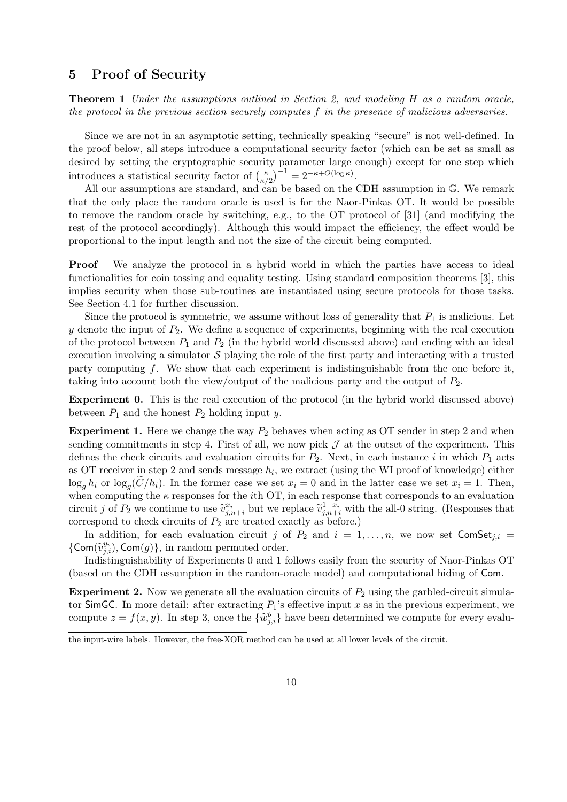## **5 Proof of Security**

**Theorem 1** *Under the assumptions outlined in Section 2, and modeling H as a random oracle, the protocol in the previous section securely computes f in the presence of malicious adversaries.*

Since we are not in an asymptotic setting, technically speaking "secure" is not well-defined. In the proof below, all steps introduce a computational security factor (which can be set as small as desired by setting the cryptographic security parameter large enough) except for one step which Since we are not in an asymptotic settin<br>the proof below, all steps introduce a complessived by setting the cryptographic security<br>introduces a statistical security factor of  $\binom{k}{k}$  $\binom{\kappa}{\kappa/2}^{-1} = 2^{-\kappa + O(\log \kappa)}.$ 

All our assumptions are standard, and can be based on the CDH assumption in G. We remark that the only place the random oracle is used is for the Naor-Pinkas OT. It would be possible to remove the random oracle by switching, e.g., to the OT protocol of [31] (and modifying the rest of the protocol accordingly). Although this would impact the efficiency, the effect would be proportional to the input length and not the size of the circuit being computed.

**Proof** We analyze the protocol in a hybrid world in which the parties have access to ideal functionalities for coin tossing and equality testing. Using standard composition theorems [3], this implies security when those sub-routines are instantiated using secure protocols for those tasks. See Section 4.1 for further discussion.

Since the protocol is symmetric, we assume without loss of generality that  $P_1$  is malicious. Let  $y$  denote the input of  $P_2$ . We define a sequence of experiments, beginning with the real execution of the protocol between  $P_1$  and  $P_2$  (in the hybrid world discussed above) and ending with an ideal execution involving a simulator  $S$  playing the role of the first party and interacting with a trusted party computing *f*. We show that each experiment is indistinguishable from the one before it, taking into account both the view/output of the malicious party and the output of *P*2.

**Experiment 0.** This is the real execution of the protocol (in the hybrid world discussed above) between  $P_1$  and the honest  $P_2$  holding input *y*.

**Experiment 1.** Here we change the way  $P_2$  behaves when acting as OT sender in step 2 and when sending commitments in step 4. First of all, we now pick  $\mathcal J$  at the outset of the experiment. This defines the check circuits and evaluation circuits for  $P_2$ . Next, in each instance *i* in which  $P_1$  acts as OT receiver in step 2 and sends message *h<sup>i</sup>* , we extract (using the WI proof of knowledge) either  $\log_a h_i$  or  $\log_a (C/h_i)$ . In the former case we set  $x_i = 0$  and in the latter case we set  $x_i = 1$ . Then, **1.** Here we change the way  $P_2$  behaves when acting as OT sender in step 2 and when intments in step 4. First of all, we now pick  $J$  at the outset of the experiment. This eck circuits and evaluation circuits for  $P_2$ . when computing the *κ* responses for the *i*th OT, in each response that corresponds to an evaluation as OT receiver in step 2 and sends message  $h_i$ , we extract (using the WI proof of knowledge) either  $\log_g h_i$  or  $\log_g (\widetilde{C}/h_i)$ . In the former case we set  $x_i = 0$  and in the latter case we set  $x_i = 1$ . Then, when computin correspond to check circuits of *P*<sup>2</sup> are treated exactly as before.)

In addition, for each evaluation circuit *j* of  $P_2$  and  $i = 1, \ldots, n$ , we now set ComSet<sub>*j,i*</sub> =  $y_i(y_i)$ , Com(g), in random permuted order.

Indistinguishability of Experiments 0 and 1 follows easily from the security of Naor-Pinkas OT (based on the CDH assumption in the random-oracle model) and computational hiding of Com.

**Experiment 2.** Now we generate all the evaluation circuits of  $P_2$  using the garbled-circuit simulator SimGC. In more detail: after extracting  $P_1$ 's effective input  $x$  as in the previous experiment, we (based on the CDH assumption in the random-oracle model) and computational hiding of Com.<br> **Experiment 2.** Now we generate all the evaluation circuits of  $P_2$  using the garbled-circuit simulator SimGC. In more detail: af

the input-wire labels. However, the free-XOR method can be used at all lower levels of the circuit.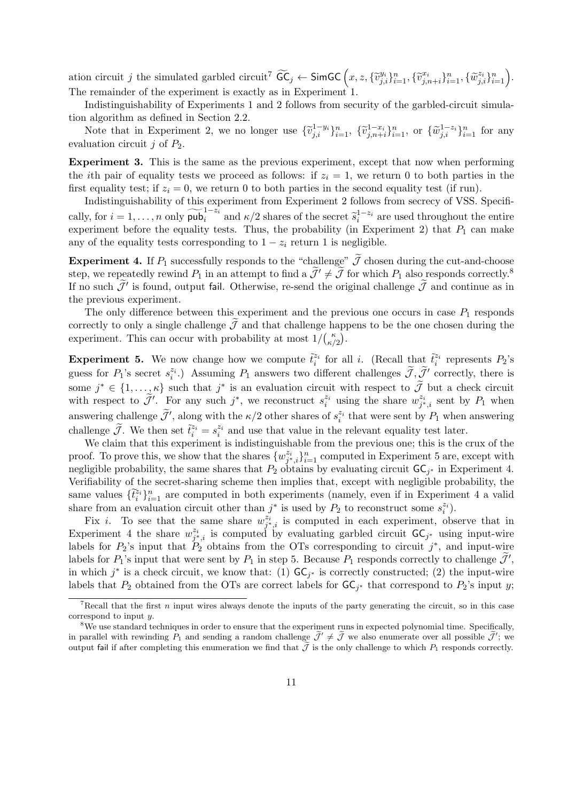ation circuit j the simulated garbled circuit<sup>7</sup>  $\widetilde{\mathsf{GC}}_j \leftarrow \mathsf{SimGC}\left(x,z,\{\widetilde{v}^{y_i}_{j,i}\}_{i=1}^n,\{\widetilde{v}^{x_i}_{j,n+i}\}_{i=1}^n,\{\widetilde{w}^{z_i}_{j,i}\}_{i=1}^n\right).$ The remainder of the experiment is exactly as in Experiment 1.

Indistinguishability of Experiments 1 and 2 follows from security of the garbled-circuit simulation algorithm as defined in Section 2.2. be remainder of the experiment is exactly as in Experiment 1.<br>Indistinguishability of Experiments 1 and 2 follows from security of the garbled-circuit simula-<br>algorithm as defined in Section 2.2.<br>Note that in Experiment 2

evaluation circuit *j* of *P*2.

**Experiment 3.** This is the same as the previous experiment, except that now when performing the *i*th pair of equality tests we proceed as follows: if  $z_i = 1$ , we return 0 to both parties in the first equality test; if  $z_i = 0$ , we return 0 to both parties in the second equality test (if run). **calluming** the *i*th pair of equality tests we proceed as follows: if  $z_i = 1$ , we return 0 to both parties in the first equality test; if  $z_i = 0$ , we return 0 to both parties in the second equality test (if run). Indisti

Indistinguishability of this experiment from Experiment 2 follows from secrecy of VSS. Specifiexperiment before the equality tests. Thus, the probability (in Experiment 2) that  $P_1$  can make any of the equality tests corresponding to  $1 - z_i$  return 1 is negligible. cally, for  $i = 1, ..., n$  only  $\widetilde{\text{pub}}_i^{1-z_i}$  and  $\kappa/2$  shares of the secret  $\widetilde{s}_i^{1-z_i}$  are used throughout the entire experiment before the equality tests. Thus, the probability (in Experiment 2) that  $P_1$  can make experiment before the equality tests. Thus, the probability (in Experiment 2) that  $P_1$  can make<br>any of the equality tests corresponding to  $1 - z_i$  return 1 is negligible.<br>**Experiment 4.** If  $P_1$  successfully responds to

any of the equality tests corresponding to  $1 - z_i$  return 1 is negligible.<br> **Experiment 4.** If  $P_1$  successfully responds to the "challenge"  $\tilde{J}$  chosen during the cut-and-choose<br>
step, we repeatedly rewind  $P_1$  in a the previous experiment. step, we repeatedly rewind  $P_1$  in an attempt to find a  $J' \neq J$  for which  $P_1$  also responds correctly.<sup>19</sup> If no such  $\tilde{J}'$  is found, output fail. Otherwise, re-send the original challenge  $\tilde{J}$  and continue as

The only difference between this experiment and the previous one occurs in case  $P_1$  responds experiment. This can occur with probability at most  $1/\binom{\kappa}{\kappa}$  $\binom{\kappa}{\kappa/2}$ .

**Experiment 5.** We now change how we compute  $\tilde{t}^{z_i}_i$  for all *i*. (Recall that  $\tilde{t}^{z_i}_i$  represents  $P_2$ 's correctly to only a single challenge  $\mathcal J$  and that challenge happens to be the one chosen during the experiment. This can occur with probability at most  $1/ {\kappa \choose \kappa/2}$ .<br> **Experiment 5.** We now change how we compute  $\til$ some  $j^* \in \{1, \ldots, \kappa\}$  such that  $j^*$ cobability at most  $1/(\kappa^2)$ .<br>how we compute  $\tilde{t}_i^{z_i}$  for all *i*. (Recall that  $\tilde{t}_i^{z_i}$  represents  $P_2$ 's<br>g  $P_1$  answers two different challenges  $\tilde{\mathcal{J}}, \tilde{\mathcal{J}}'$  correctly, there is<br>is an evaluation ci **Experiment 5.** V<br>guess for  $P_1$ 's secre<br>some  $j^* \in \{1, ...,$ <br>with respect to  $\tilde{J}'$ . For any such  $j^*$ , we reconstruct  $s_i^{z_i}$  using the share  $w_{j^*,i}^{z_i}$  sent by  $P_1$  when guess for  $P_1$ 's secret  $s_i^*$ <br>some  $j^* \in \{1, ..., \kappa\}$  s<br>with respect to  $\widetilde{\mathcal{J}}'$ . F<br>answering challenge  $\widetilde{\mathcal{J}}'$ , along with the  $\kappa/2$  other shares of  $s_i^{z_i}$  that were sent by  $P_1$  when answering some  $j^* \in \{1, ..., \kappa\}$  such<br>with respect to  $\widetilde{\mathcal{J}}'$ . For an<br>answering challenge  $\widetilde{\mathcal{J}}'$ , alor<br>challenge  $\widetilde{\mathcal{J}}$ . We then set  $\widetilde{t}_i$  $z_i^{z_i} = s_i^{z_i}$  and use that value in the relevant equality test later.

We claim that this experiment is indistinguishable from the previous one; this is the crux of the proof. To prove this, we show that the shares  $\{w_{j^*,i}^{z_i}\}_{i=1}^n$  computed in Experiment 5 are, except with negligible probability, the same shares that  $P_2$  obtains by evaluating circuit  $\mathsf{GC}_{j^*}$  in Experiment 4. Verifiability of the secret-sharing scheme then implies that, except with negligible probability, the we claim tr.<br>proof. To prove<br>negligible proba<br>Verifiability of<br>same values  $\{\tilde{t}_i^k\}$  $\tilde{z}_i^n\}_{i=1}^n$  are computed in both experiments (namely, even if in Experiment 4 a valid share from an evaluation circuit other than  $j^*$  is used by  $P_2$  to reconstruct some  $s_i^{z_i}$ ).

Fix *i*. To see that the same share  $w_{j^*,i}^{z_i}$  is computed in each experiment, observe that in Experiment 4 the share  $w_{j^*,i}^{z_i}$  is computed by evaluating garbled circuit  $\mathsf{GC}_{j^*}$  using input-wire labels for  $P_2$ 's input that  $P_2$  obtains from the OTs corresponding to circuit  $j^*$ , and input-wire share from an evaluation circuit other than  $j^*$  is used by  $P_2$  to reconstruct some  $s_i^*$ .<br>Fix *i*. To see that the same share  $w_{j^*i}^{z_i}$  is computed in each experiment, observe that in<br>Experiment 4 the share  $w_{j^$ labels for  $P_1$ 's input that were sent by  $P_1$  in step 5. Because  $P_1$  responds correctly to challenge  $\tilde{\mathcal{J}}'$ , in which  $j^*$  is a check circuit, we know that: (1)  $\mathsf{GC}_{j^*}$  is correctly constructed; (2) the input-wire labels that  $P_2$  obtained from the OTs are correct labels for  $\mathsf{GC}_{j^*}$  that correspond to  $P_2$ 's input *y*;

<sup>7</sup>Recall that the first *n* input wires always denote the inputs of the party generating the circuit, so in this case correspond to input *y*.

<sup>&</sup>lt;sup>8</sup>We use standard techniques in order to ensure that the experiment runs in expected polynomial time. Specifically, in parallel with rewinding  $P_1$  and sending a random challenge  $\mathcal{J}' \neq \mathcal{J}$  we also enumerate over all possible  $\mathcal{J}'$ ; we output fail if after completing this enumeration we find that  $\tilde{J}$  is the only challenge to which  $P_1$  responds correctly.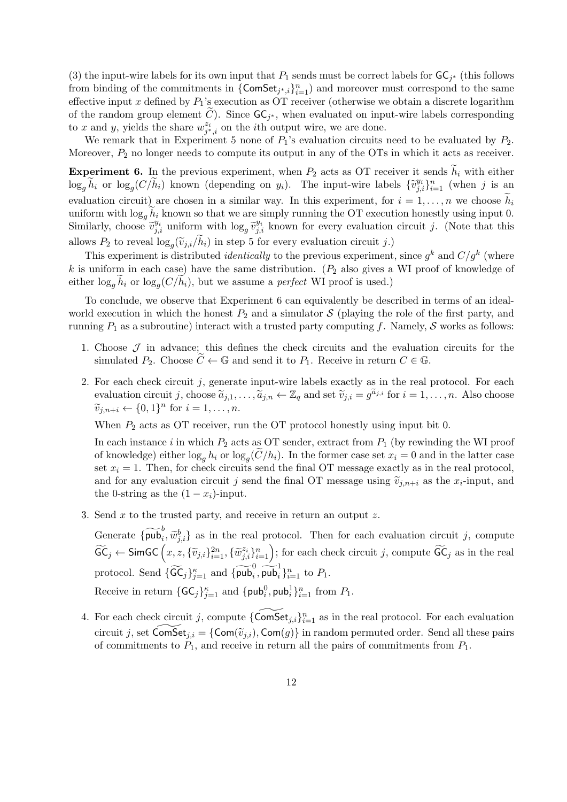(3) the input-wire labels for its own input that  $P_1$  sends must be correct labels for  $GC_{j^*}$  (this follows from binding of the commitments in  ${\{ComSet_{j^*,i}\}}_{i=1}^n$  and moreover must correspond to the same effective input  $x$  defined by  $P_1$ 's execution as OT receiver (otherwise we obtain a discrete logarithm (3) the input-wire labels for its own input that<br>from binding of the commitments in {ComSerfective input *x* defined by  $P_1$ 's execution as<br>of the random group element  $\tilde{C}$ ). Since  $\mathsf{GC}_j$ of the random group element C). Since  $\mathsf{GC}_{i^*}$ , when evaluated on input-wire labels corresponding to *x* and *y*, yields the share  $w_{j^*,i}^{z_i}$  on the *i*th output wire, we are done.

We remark that in Experiment 5 none of  $P_1$ 's evaluation circuits need to be evaluated by  $P_2$ . Moreover,  $P_2$  no longer needs to compute its output in any of the OTs in which it acts as receiver. to x and y, yields the share  $w_{j^*,i}^{z_i}$  on the *i*th output wire, we are done.<br>We remark that in Experiment 5 none of  $P_1$ 's evaluation circuits need to be evaluated by  $P_2$ .<br>Moreover,  $P_2$  no longer needs to comput

We remark that in Experiment 5 none of  $P_1$ 's evaluation circuits need to be evaluated by  $P_2$ .<br>Moreover,  $P_2$  no longer needs to compute its output in any of the OTs in which it acts as receiver.<br>**Experiment 6.** In th Moreover,  $P_2$  no longer needs to compute its output in any of the OTs in which it acts as receiver.<br> **Experiment 6.** In the previous experiment, when  $P_2$  acts as OT receiver it sends  $\tilde{h}_i$  with either  $\log_g \tilde{h}_i$ uniform with  $\log_g h_i$  known so that we are simply running the OT execution honestly using input 0. e $\log_g \widetilde{h}_i$  or  $\log_g (C/\widetilde{l})$ <br>evaluation circuit)<br>uniform with  $\log_g \widetilde{h}$ <br>Similarly, choose  $\widetilde{v}$  $\tilde{h}_i$ ) known (depending on  $y_i$ ). The input-wire labels  $\{\tilde{v}_{j,i}^{y_i}\}_{i=1}^n$  (when *j* is an are chosen in a similar way. In this experiment, for  $i = 1, ..., n$  we choose  $\tilde{h}_i$  known so that we are simply running th allows  $P_2$  to reveal  $\log_a(\tilde{v}_{i,i}/h_i)$  in step 5 for every evaluation circuit j.) chosen in a similar way. In this experiment, for<br>own so that we are simply running the OT execut<br>aiform with  $\log_g \tilde{v}^{y_i}_{j,i}$  known for every evaluation<br> $(\tilde{v}_{j,i}/\tilde{h}_i)$  in step 5 for every evaluation circuit *j*.) e

This experiment is distributed *identically* to the previous experiment, since  $g^k$  and  $C/g^k$  (where *k* is uniform in each case) have the same distribution. (*P*<sup>2</sup> also gives a WI proof of knowledge of either log*<sup>g</sup> h<sup>i</sup>* or log*<sup>g</sup>*  $\log_g(\tilde{v}_{j,i}/\tilde{h}_i)$  in step 5 for every evaluation circuit j.)<br>is distributed *identically* to the previous experiment<br>case) have the same distribution. ( $P_2$  also gives a<br> $(C/\tilde{h}_i)$ , but we assume a *perfect* WI pro

To conclude, we observe that Experiment 6 can equivalently be described in terms of an idealworld execution in which the honest  $P_2$  and a simulator  $S$  (playing the role of the first party, and running *P*<sup>1</sup> as a subroutine) interact with a trusted party computing *f*. Namely, *S* works as follows: execution in which the honest  $P_2$  and a simulator  $S$  (playing the role of t<br>ng  $P_1$  as a subroutine) interact with a trusted party computing  $f$ . Namely,<br>Choose  $\mathcal{J}$  in advance; this defines the check circuits and

- 1. Choose *J* in advance; this defines the check circuits and the evaluation circuits for the
- 2. For each check circuit *j*, generate input-wire labels exactly as in the real protocol. For each Choose  $\mathcal{J}$  in advance; this defines the check circuits and the evaluation circuits for the simulated  $P_2$ . Choose  $\widetilde{C} \leftarrow \mathbb{G}$  and send it to  $P_1$ . Receive in return  $C \in \mathbb{G}$ .<br>For each check circuit *j*, g *v*ection is<br> *v*efficiently *evaluation circ*<br>  $\widetilde{v}_{j,n+i} \leftarrow \{0,1\}$ *n* for  $i = 1, ..., n$ .

When  $P_2$  acts as OT receiver, run the OT protocol honestly using input bit 0.

In each instance *i* in which *P*<sup>2</sup> acts as OT sender, extract from *P*<sup>1</sup> (by rewinding the WI proof of knowledge) either  $\log_a h_i$  or  $\log_a (C/h_i)$ . In the former case set  $x_i = 0$  and in the latter case the OT protocol honestly using input bit 0.<br>as OT sender, extract from  $P_1$  (by rewinding the WI proof  $(\widetilde{C}/h_i)$ ). In the former case set  $x_i = 0$  and in the latter case set  $x_i = 1$ . Then, for check circuits send the final OT message exactly as in the real protocol, In each instance *i* in which  $P_2$  acts as OT sender, extract from  $P_1$  (by rewinding the WI proof of knowledge) either  $\log_g h_i$  or  $\log_g(\widetilde{C}/h_i)$ . In the former case set  $x_i = 0$  and in the latter case set  $x_i = 1$ . Then the 0-string as the  $(1 - x_i)$ -input. the 0-string as the  $(1 - x_i)$ -input.<br>
Send *x* to the trusted party, and receive in return an output *z*.<br>
Generate  $\{\widetilde{\text{pub}}_i^b, \widetilde{w}_{j,i}^b\}$  as in the real protocol. Then for each evaluation circuit *j*, compute

3. Send *x* to the trusted party, and receive in return an output *z*.

for the 0-string as the  $(1 - x_i)$ -input.<br>
Send x to the trusted party, and receive in return an output z.<br>
Generate  $\{\overline{\text{pub}}_i^b, \widetilde{w}_{j,i}^b\}$  as in the real protocol. Then for each evaluation circuit *j*, compute  $\widet$  $\alpha$ ;  $\beta$ )  $\beta$  and receive<br>  $\alpha$  in the real production<br>  $\alpha$ <sub>*i*=1</sub></sub>,  $\{\widetilde{w}_{j,i}^{z_i}\}_{i=1}^n$ Generate  $\{\widetilde{\text{pub}}_i^b, \widetilde{w}_{j,i}^b\}$  as in the real prot<br>  $\widetilde{\text{GC}}_j \leftarrow \text{SimGC}\left(x, z, \{\widetilde{v}_{j,i}\}_{i=1}^{2n}, \{\widetilde{w}_{j,i}^{z_i}\}_{i=1}^n\right);$ <br>
protocol. Send  $\{\widetilde{\text{GC}}_j\}_{j=1}^{\kappa}$  and  $\{\widetilde{\text{pub}}_i^0, \widetilde{\text{pub}}_i^1\}$  $\zeta_{j=1}^{\kappa}$  and  $\{\overline{\mathsf{pub}}_i, \overline{\mathsf{pub}}_i\}_{i=1}^n$  to  $P_1$ . Receive in return  $\{\mathsf{GC}_j\}_{j=1}^{\kappa}$  and  $\{\mathsf{pub}_i^0, \mathsf{pub}_i^1\}_{i=1}^n$  from  $P_1$ .

4. For each check circuit *j*, compute  ${\{ComSet_{j,i}\}}_{i=1}^n$  as in the real protocol. For each evaluation Receive in return  $\{GC_j\}_{j=1}^{\kappa}$  and  $\{\text{pub}_i^0, \text{pub}_i^1\}_{i=1}^n$  from  $P_1$ .<br>For each check circuit *j*, compute  $\{\widetilde{\text{ComSet}}_{j,i}\}_{i=1}^n$  as in the real protocol. For each evaluation circuit *j*, set  $\widetilde{\text{ComSet}}_{j,i} = \$ of commitments to *P*1, and receive in return all the pairs of commitments from *P*1.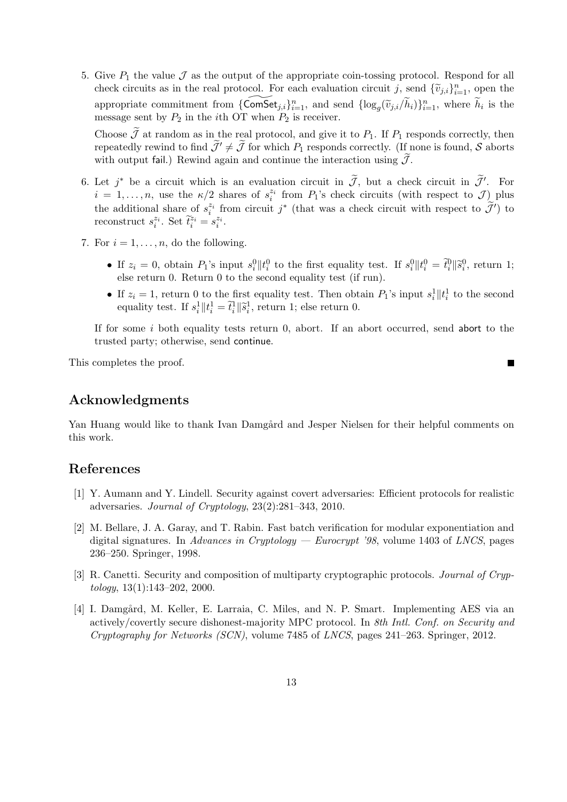5. Give  $P_1$  the value  $\mathcal J$  as the output of the appropriate coin-tossing protocol. Respond for all Give  $P_1$  the value  $\mathcal J$  as the output of the appropriate coin-tossing protocol. Respond for all check circuits as in the real protocol. For each evaluation circuit *j*, send  $\{\widetilde{v}_{j,i}\}_{i=1}^n$ , open the Give  $P_1$  the value  $\mathcal J$  as the output of the appropriate coin-tossing protocol. Respond for all check circuits as in the real protocol. For each evaluation circuit  $j$ , send  $\{\widetilde{v}_{j,i}\}_{i=1}^n$ , open the appropriate message sent by  $P_2$  in the *i*th OT when  $P_2$  is receiver. check circuits as in the real protocol. For each evaluation circuit *j*, send  $\{\tilde{v}_{j,i}\}_{i=1}^n$ , open the appropriate commitment from  $\{\widehat{\text{ComSet}}_{j,i}\}_{i=1}^n$ , and send  $\{\log_g(\tilde{v}_{j,i}/\tilde{h}_i)\}_{i=1}^n$ , where  $\tilde{h}_i$  is appropriate commitment from  $\{\widetilde{\text{ComSet}}_{j,i}\}_{i=1}^n$ , and send  $\{\log_g(\widetilde{v}_{j,i}/\widetilde{h}_i)\}_{i=1}^n$ , where  $\widetilde{h}_i$  is the message sent by  $P_2$  in the *i*th OT when  $P_2$  is receiver.<br>Choose  $\widetilde{J}$  at random as in the r

Choose  $\widetilde{J}$  at random as in the real protocol, and give it to  $P_1$ . If  $P_1$  responds correctly, then repeatedly rewind to find  $\widetilde{J}' \neq \widetilde{J}$  for which  $P_1$  responds correctly. (If none is found,  $S$  aborts w Choose  $\tilde{J}$  at random as in the real protocol, and give it to  $P_1$ . If  $P_1$  responds correctly, then repeatedly rewind to find  $\tilde{J}' \neq \tilde{J}$  for which  $P_1$  responds correctly. (If none is found,  $S$  aborts with

- $i = 1, \ldots, n$ , use the  $\kappa/2$  shares of  $s_i^{z_i}$  from  $P_1$ 's check circuits (with respect to *J*) plus the additional share of  $s_i^{z_i}$  from circuit  $j^*$  (that was a check circuit with respect to  $\tilde{\mathcal{J}}'$ ) to (that was a check circuit in  $\widetilde{\mathcal{J}}$ , but a check circuit in  $\widetilde{\mathcal{J}}'$ .<br>
(that was a check circuit with respect to  $\mathcal{J}$ )<br>
(that was a check circuit with respect to  $\widetilde{\mathcal{J}}'$ reconstruct  $s_i^{z_i}$ . Set  $\tilde{t}_i^{z_i} = s_i^{z_i}$ . ircuit v<br>use the<br>share of<br> $\widetilde{t}_i$  $\|\widetilde{s}\|$
- 7. For  $i = 1, \ldots, n$ , do the following.
- construct  $s_i^{z_i}$ . Set  $\tilde{t}_i^{z_i} = s_i^{z_i}$ .<br>  $\mathbf{r} \ i = 1, ..., n$ , do the following.<br>
 If  $z_i = 0$ , obtain  $P_1$ 's input  $s_i^0 || t_i^0$  to the first equality test. If  $s_i^0 || t_i^0 = \tilde{t}_i^0 || \tilde{s}_i^0$ , return 1;<br>
 If  $z_i = 1$ , re else return 0. Return 0 to the second equality test (if run). *µt*<br>*th*<br>*irs ∥s* 
	- If  $z_i = 1$ , return 0 to the first equality test. Then obtain  $P_1$ 's input  $s_i^1 || t_i^1$  to the second equality test. If  $s_i^1 || t_i^1 = \tilde{t}_i^1 || \tilde{s}_i^1$ , return 1; else return 0.

If for some *i* both equality tests return 0, abort. If an abort occurred, send abort to the trusted party; otherwise, send continue.

 $\blacksquare$ 

This completes the proof.

## **Acknowledgments**

Yan Huang would like to thank Ivan Damgård and Jesper Nielsen for their helpful comments on this work.

## **References**

- [1] Y. Aumann and Y. Lindell. Security against covert adversaries: Efficient protocols for realistic adversaries. *Journal of Cryptology*, 23(2):281–343, 2010.
- [2] M. Bellare, J. A. Garay, and T. Rabin. Fast batch verification for modular exponentiation and digital signatures. In *Advances in Cryptology — Eurocrypt '98*, volume 1403 of *LNCS*, pages 236–250. Springer, 1998.
- [3] R. Canetti. Security and composition of multiparty cryptographic protocols. *Journal of Cryptology*, 13(1):143–202, 2000.
- [4] I. Damgård, M. Keller, E. Larraia, C. Miles, and N. P. Smart. Implementing AES via an actively/covertly secure dishonest-majority MPC protocol. In *8th Intl. Conf. on Security and Cryptography for Networks (SCN)*, volume 7485 of *LNCS*, pages 241–263. Springer, 2012.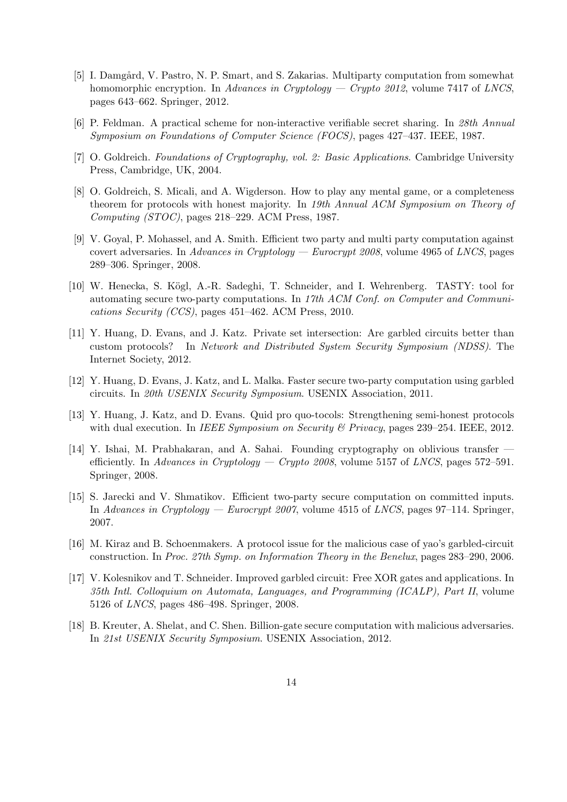- [5] I. Damgård, V. Pastro, N. P. Smart, and S. Zakarias. Multiparty computation from somewhat homomorphic encryption. In *Advances in Cryptology — Crypto 2012*, volume 7417 of *LNCS*, pages 643–662. Springer, 2012.
- [6] P. Feldman. A practical scheme for non-interactive verifiable secret sharing. In *28th Annual Symposium on Foundations of Computer Science (FOCS)*, pages 427–437. IEEE, 1987.
- [7] O. Goldreich. *Foundations of Cryptography, vol. 2: Basic Applications*. Cambridge University Press, Cambridge, UK, 2004.
- [8] O. Goldreich, S. Micali, and A. Wigderson. How to play any mental game, or a completeness theorem for protocols with honest majority. In *19th Annual ACM Symposium on Theory of Computing (STOC)*, pages 218–229. ACM Press, 1987.
- [9] V. Goyal, P. Mohassel, and A. Smith. Efficient two party and multi party computation against covert adversaries. In *Advances in Cryptology — Eurocrypt 2008*, volume 4965 of *LNCS*, pages 289–306. Springer, 2008.
- [10] W. Henecka, S. Kögl, A.-R. Sadeghi, T. Schneider, and I. Wehrenberg. TASTY: tool for automating secure two-party computations. In *17th ACM Conf. on Computer and Communications Security (CCS)*, pages 451–462. ACM Press, 2010.
- [11] Y. Huang, D. Evans, and J. Katz. Private set intersection: Are garbled circuits better than custom protocols? In *Network and Distributed System Security Symposium (NDSS)*. The Internet Society, 2012.
- [12] Y. Huang, D. Evans, J. Katz, and L. Malka. Faster secure two-party computation using garbled circuits. In *20th USENIX Security Symposium*. USENIX Association, 2011.
- [13] Y. Huang, J. Katz, and D. Evans. Quid pro quo-tocols: Strengthening semi-honest protocols with dual execution. In *IEEE Symposium on Security & Privacy*, pages 239–254. IEEE, 2012.
- [14] Y. Ishai, M. Prabhakaran, and A. Sahai. Founding cryptography on oblivious transfer efficiently. In *Advances in Cryptology — Crypto 2008*, volume 5157 of *LNCS*, pages 572–591. Springer, 2008.
- [15] S. Jarecki and V. Shmatikov. Efficient two-party secure computation on committed inputs. In *Advances in Cryptology — Eurocrypt 2007*, volume 4515 of *LNCS*, pages 97–114. Springer, 2007.
- [16] M. Kiraz and B. Schoenmakers. A protocol issue for the malicious case of yao's garbled-circuit construction. In *Proc. 27th Symp. on Information Theory in the Benelux*, pages 283–290, 2006.
- [17] V. Kolesnikov and T. Schneider. Improved garbled circuit: Free XOR gates and applications. In *35th Intl. Colloquium on Automata, Languages, and Programming (ICALP), Part II*, volume 5126 of *LNCS*, pages 486–498. Springer, 2008.
- [18] B. Kreuter, A. Shelat, and C. Shen. Billion-gate secure computation with malicious adversaries. In *21st USENIX Security Symposium*. USENIX Association, 2012.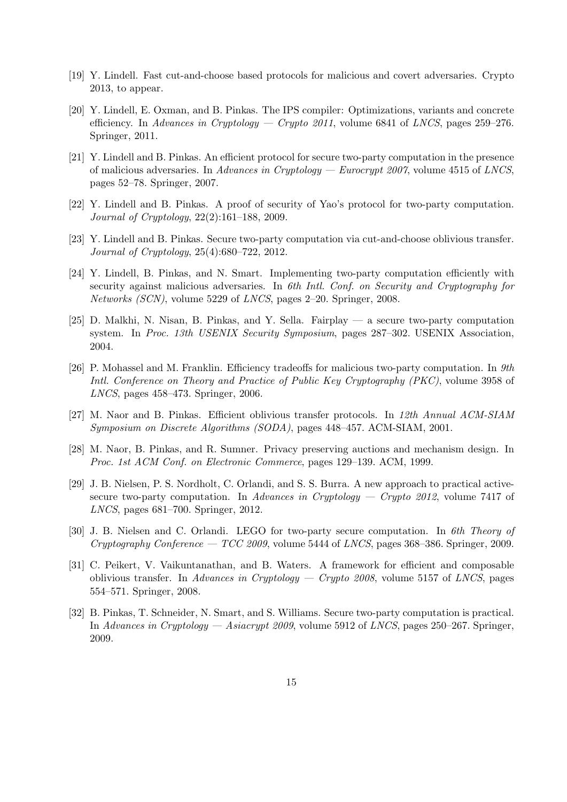- [19] Y. Lindell. Fast cut-and-choose based protocols for malicious and covert adversaries. Crypto 2013, to appear.
- [20] Y. Lindell, E. Oxman, and B. Pinkas. The IPS compiler: Optimizations, variants and concrete efficiency. In *Advances in Cryptology — Crypto 2011*, volume 6841 of *LNCS*, pages 259–276. Springer, 2011.
- [21] Y. Lindell and B. Pinkas. An efficient protocol for secure two-party computation in the presence of malicious adversaries. In *Advances in Cryptology — Eurocrypt 2007*, volume 4515 of *LNCS*, pages 52–78. Springer, 2007.
- [22] Y. Lindell and B. Pinkas. A proof of security of Yao's protocol for two-party computation. *Journal of Cryptology*, 22(2):161–188, 2009.
- [23] Y. Lindell and B. Pinkas. Secure two-party computation via cut-and-choose oblivious transfer. *Journal of Cryptology*, 25(4):680–722, 2012.
- [24] Y. Lindell, B. Pinkas, and N. Smart. Implementing two-party computation efficiently with security against malicious adversaries. In *6th Intl. Conf. on Security and Cryptography for Networks (SCN)*, volume 5229 of *LNCS*, pages 2–20. Springer, 2008.
- [25] D. Malkhi, N. Nisan, B. Pinkas, and Y. Sella. Fairplay a secure two-party computation system. In *Proc. 13th USENIX Security Symposium*, pages 287–302. USENIX Association, 2004.
- [26] P. Mohassel and M. Franklin. Efficiency tradeoffs for malicious two-party computation. In *9th Intl. Conference on Theory and Practice of Public Key Cryptography (PKC)*, volume 3958 of *LNCS*, pages 458–473. Springer, 2006.
- [27] M. Naor and B. Pinkas. Efficient oblivious transfer protocols. In *12th Annual ACM-SIAM Symposium on Discrete Algorithms (SODA)*, pages 448–457. ACM-SIAM, 2001.
- [28] M. Naor, B. Pinkas, and R. Sumner. Privacy preserving auctions and mechanism design. In *Proc. 1st ACM Conf. on Electronic Commerce*, pages 129–139. ACM, 1999.
- [29] J. B. Nielsen, P. S. Nordholt, C. Orlandi, and S. S. Burra. A new approach to practical activesecure two-party computation. In *Advances in Cryptology — Crypto 2012*, volume 7417 of *LNCS*, pages 681–700. Springer, 2012.
- [30] J. B. Nielsen and C. Orlandi. LEGO for two-party secure computation. In *6th Theory of Cryptography Conference — TCC 2009*, volume 5444 of *LNCS*, pages 368–386. Springer, 2009.
- [31] C. Peikert, V. Vaikuntanathan, and B. Waters. A framework for efficient and composable oblivious transfer. In *Advances in Cryptology — Crypto 2008*, volume 5157 of *LNCS*, pages 554–571. Springer, 2008.
- [32] B. Pinkas, T. Schneider, N. Smart, and S. Williams. Secure two-party computation is practical. In *Advances in Cryptology — Asiacrypt 2009*, volume 5912 of *LNCS*, pages 250–267. Springer, 2009.